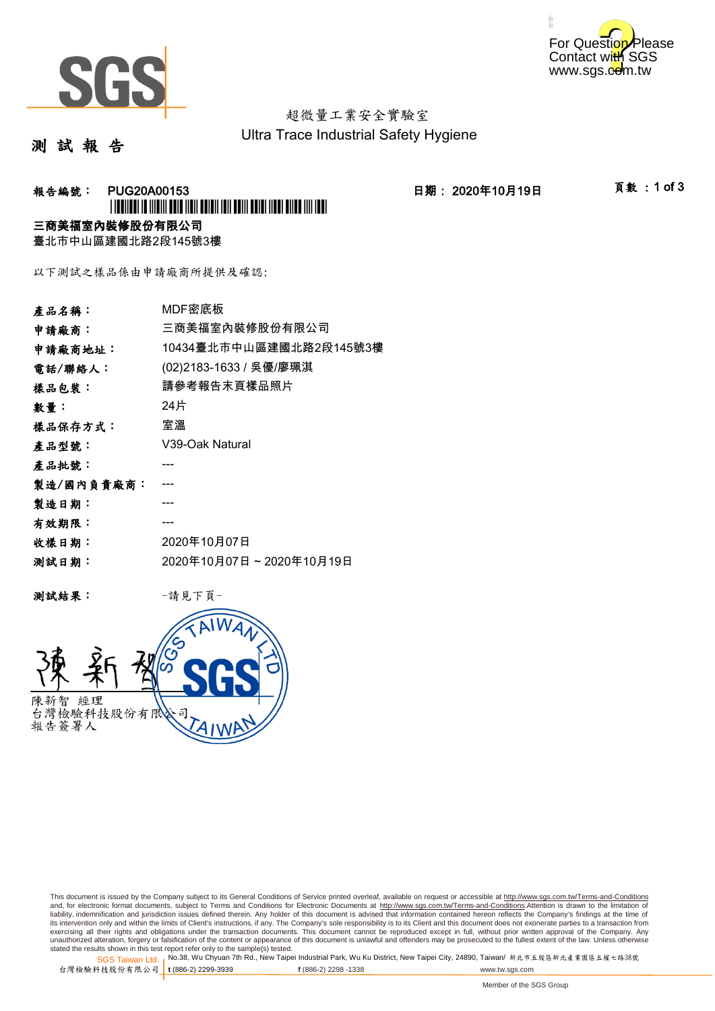



### 超微量工業安全實驗室 Ultra Trace Industrial Safety Hygiene

測 試 報 告

## **報告編號: PUG20A00153 日期: 2020年10月19日** 頁數 :**1** of 3 \*PUBLICAN IN IIIBIII AAIA IIBII AAIAII IBII AAIII AAIAI IIBAI AIIBA IIII IBA

三商美福室內裝修股份有限公司 臺北市中山區建國北路2段145號3樓

以下測試之樣品係由申請廠商所提供及確認:

| 產品名稱:      | MDF密底板                  |  |  |  |
|------------|-------------------------|--|--|--|
| 申請廠商:      | 三商美福室內裝修股份有限公司          |  |  |  |
| 申請廠商地址:    | 10434臺北市中山區建國北路2段145號3樓 |  |  |  |
| 電話/聯絡人:    | (02)2183-1633 / 吳優/廖珮淇  |  |  |  |
| 樣品包裝:      | 請參考報告末頁樣品照片             |  |  |  |
| 數量:        | 24片                     |  |  |  |
| 樣品保存方式:    | 室溫                      |  |  |  |
| 產品型號:      | V39-Oak Natural         |  |  |  |
| 產品批號:      |                         |  |  |  |
| 製造/國內負責廠商: |                         |  |  |  |
| 製造日期:      |                         |  |  |  |
| 有效期限:      |                         |  |  |  |
| 收樣日期:      | 2020年10月07日             |  |  |  |
| 测試日期:      | 2020年10月07日~2020年10月19日 |  |  |  |
|            |                         |  |  |  |

測試結果: -請見下頁-



This document is issued by the Company subject to its General Conditions of Service printed overleaf, available on request or accessible at http://www.sgs.com.tw/Terms-and-Conditions and, for electronic format documents, subject to Terms and Conditions for Electronic Documents at <u>http://www.sgs.com.tw/Terms-and-Conditions</u>.Attention is drawn to the limitation of<br>liability, indemnification and jurisdic exercising all their rights and obligations under the transaction documents. This document cannot be reproduced except in full, without prior written approval of the Company. Any<br>unauthorized alteration, forgery or falsifi stated the results shown in this test report refer only to the sample(s) tested.<br>Stated the results shown in this test report refer only to the sample(s) tested.

SGS Taiwan Ltd. 1

台灣檢驗科技股份有限公司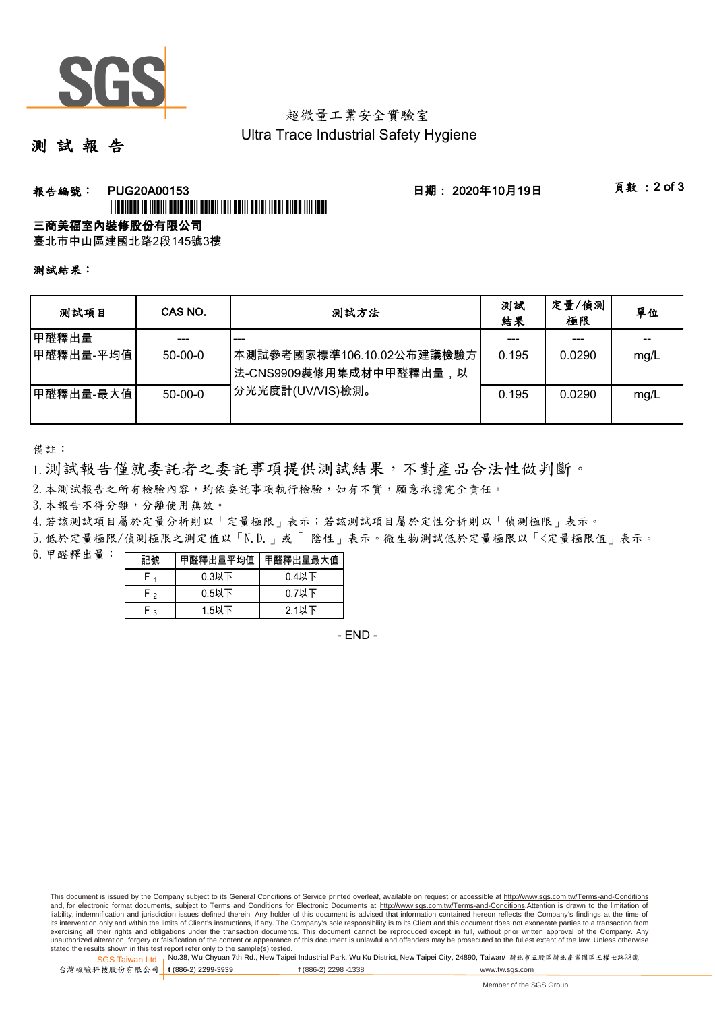

超微量工業安全實驗室 Ultra Trace Industrial Safety Hygiene

測 試 報 告

## **報告編號: PUG20A00153 日期: 2020年10月19日** 頁數 :2 of 3 \*PUBLICAN IN IIIBIII AAIA IIBII AAIAII IBII AAIII AAIAI IIBAI AIIBA IIII IBA

#### 三商美福室內裝修股份有限公司

臺北市中山區建國北路2段145號3樓

#### 測試結果:

| 测試項目        | CAS NO.       | 測試方法                                                   | 測試<br>結果 | 定量/偵測<br>極限 | 單位   |
|-------------|---------------|--------------------------------------------------------|----------|-------------|------|
| 甲醛釋出量       | ---           | ---                                                    |          | ---         | --   |
| ┃甲醛釋出量-平均值  | $50 - 00 - 0$ | 本測試參考國家標準106.10.02公布建議檢驗方 <br>│法-CNS9909裝修用集成材中甲醛釋出量,以 | 0.195    | 0.0290      | mg/L |
| ┃甲醛釋出量-最大值′ | $50-00-0$     | ┃分光光度計(UV/VIS)檢測。                                      | 0.195    | 0.0290      | mg/L |

備註:

1.測試報告僅就委託者之委託事項提供測試結果,不對產品合法性做判斷。

2. 本測試報告之所有檢驗內容,均依委託事項執行檢驗,如有不實,願意承擔完全責任。

3. 本報告不得分離,分離使用無效。

4.若該測試項目屬於定量分析則以「定量極限」表示;若該測試項目屬於定性分析則以「偵測極限」表示。

5.低於定量極限/偵測極限之測定值以「N.D.」或「 陰性」表示。微生物測試低於定量極限以「<定量極限值」表示。

| 6. 甲醛釋出量: | 記號       | 甲醛釋出量平均值 | 甲醛釋出量最大值 |  |  |
|-----------|----------|----------|----------|--|--|
|           |          | $0.3$ 以下 | $0.4$ 以下 |  |  |
|           | ⊢ າ      | $0.5$ 以下 | $0.7$ 以下 |  |  |
|           | $\Omega$ | $1.5$ 以下 | $2.1$ 以下 |  |  |

- END -

This document is issued by the Company subject to its General Conditions of Service printed overleaf, available on request or accessible at http://www.sgs.com.tw/Terms-and-Conditions and, for electronic format documents, subject to Terms and Conditions for Electronic Documents at http://www.sgs.com.tw/Terms-and-Conditions.Attention is drawn to the limitation of liability, indemnification and jurisdiction issues defined therein. Any holder of this document is advised that information contained hereon reflects the Company's findings at the time of<br>its intervention only and within t exercising all their rights and obligations under the transaction documents. This document cannot be reproduced except in full, without prior written approval of the Company. Any<br>unauthorized alteration, forgery or falsifi

SGS Taiwan Ltd. 1 stated the results shown in this test report refer only to the sample(s) tested.<br>Stated the results shown in this test report refer only to the sample(s) tested.